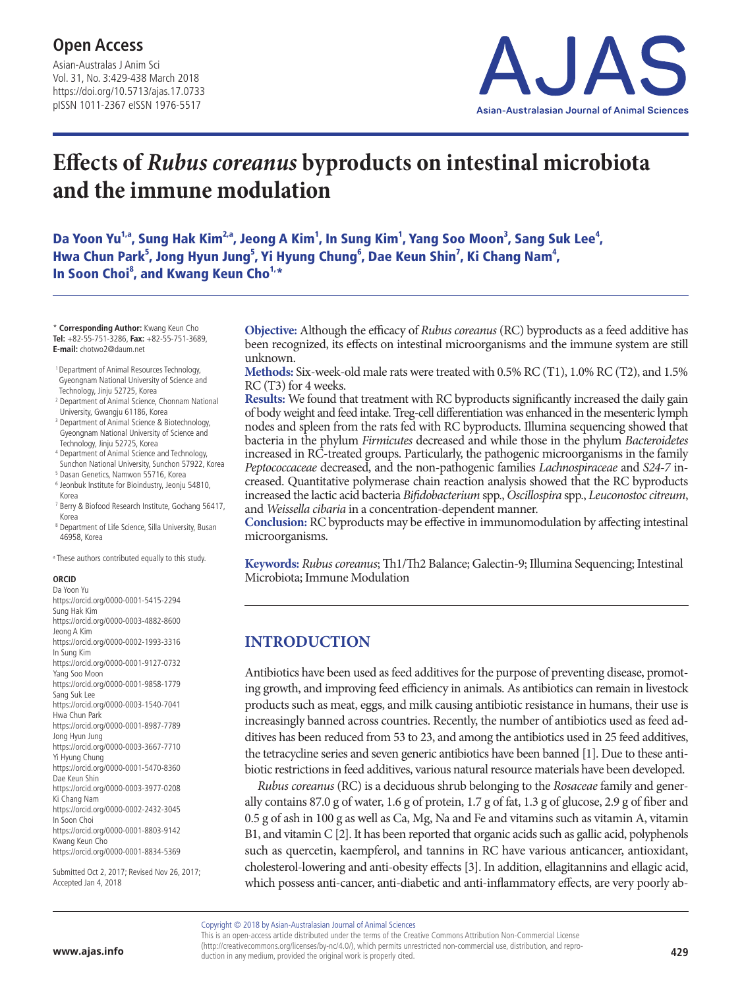Asian-Australas J Anim Sci Vol. 31, No. 3:429-438 March 2018 https://doi.org/10.5713/ajas.17.0733 pISSN 1011-2367 eISSN 1976-5517



# **Effects of** *Rubus coreanus* **byproducts on intestinal microbiota and the immune modulation**

Da Yoon Yu<sup>1,a</sup>, Sung Hak Kim<sup>2,a</sup>, Jeong A Kim<sup>1</sup>, In Sung Kim<sup>1</sup>, Yang Soo Moon<sup>3</sup>, Sang Suk Lee<sup>4</sup>, Hwa Chun Park<sup>5</sup>, Jong Hyun Jung<sup>5</sup>, Yi Hyung Chung<sup>6</sup>, Dae Keun Shin<sup>7</sup>, Ki Chang Nam<sup>4</sup>, In Soon Choi<sup>8</sup>, and Kwang Keun Cho<sup>1,\*</sup>

\* **Corresponding Author:** Kwang Keun Cho **Tel:** +82-55-751-3286, **Fax:** +82-55-751-3689, **E-mail:** chotwo2@daum.net

- 1 Department of Animal Resources Technology, Gyeongnam National University of Science and
- Technology, Jinju 52725, Korea <sup>2</sup> Department of Animal Science, Chonnam National
- University, Gwangju 61186, Korea
- <sup>3</sup> Department of Animal Science & Biotechnology, Gyeongnam National University of Science and Technology, Jinju 52725, Korea
- <sup>4</sup> Department of Animal Science and Technology,
- Sunchon National University, Sunchon 57922, Korea
- <sup>5</sup> Dasan Genetics, Namwon 55716, Korea
- <sup>6</sup> Jeonbuk Institute for Bioindustry, Jeonju 54810,
- Korea
- <sup>7</sup> Berry & Biofood Research Institute, Gochang 56417, Korea
- <sup>8</sup> Department of Life Science, Silla University, Busan 46958, Korea

a These authors contributed equally to this study.

#### **ORCID** Da Yoon Yu

| 170 IVAJIL IV                                         |
|-------------------------------------------------------|
| https://orcid.org/0000-0001-5415-2294                 |
| Sung Hak Kim                                          |
| https://orcid.org/0000-0003-4882-8600                 |
| Jeong A Kim                                           |
| https://orcid.org/0000-0002-1993-3316                 |
| In Sung Kim                                           |
| https://orcid.org/0000-0001-9127-0732                 |
| Yang Soo Moon                                         |
| https://orcid.org/0000-0001-9858-1779                 |
| Sang Suk Lee                                          |
| https://orcid.org/0000-0003-1540-7041                 |
| Hwa Chun Park                                         |
| https://orcid.org/0000-0001-8987-7789                 |
| Jong Hyun Jung                                        |
| https://orcid.org/0000-0003-3667-7710                 |
| Yi Hyung Chung                                        |
| https://orcid.org/0000-0001-5470-8360                 |
| Dae Keun Shin                                         |
| https://orcid.org/0000-0003-3977-0208                 |
| Ki Chang Nam                                          |
| https://orcid.org/0000-0002-2432-3045<br>In Soon Choi |
|                                                       |
| https://orcid.org/0000-0001-8803-9142                 |
| Kwang Keun Cho                                        |
| https://orcid.org/0000-0001-8834-5369                 |
|                                                       |

Submitted Oct 2, 2017; Revised Nov 26, 2017; Accepted Jan 4, 2018

**Objective:** Although the efficacy of *Rubus coreanus* (RC) byproducts as a feed additive has been recognized, its effects on intestinal microorganisms and the immune system are still unknown.

**Methods:** Six-week-old male rats were treated with 0.5% RC (T1), 1.0% RC (T2), and 1.5% RC (T3) for 4 weeks.

**Results:** We found that treatment with RC byproducts significantly increased the daily gain of body weight and feed intake. Treg-cell differentiation was enhanced in the mesenteric lymph nodes and spleen from the rats fed with RC byproducts. Illumina sequencing showed that bacteria in the phylum *Firmicutes* decreased and while those in the phylum *Bacteroidetes* increased in RC-treated groups. Particularly, the pathogenic microorganisms in the family *Peptococcaceae* decreased, and the non-pathogenic families *Lachnospiraceae* and *S24-7* increased. Quantitative polymerase chain reaction analysis showed that the RC byproducts increased the lactic acid bacteria *Bifidobacterium* spp., *Oscillospira* spp., *Leuconostoc citreum*, and *Weissella cibaria* in a concentration-dependent manner.

**Conclusion:** RC byproducts may be effective in immunomodulation by affecting intestinal microorganisms.

**Keywords:** *Rubus coreanus*; Th1/Th2 Balance; Galectin-9; Illumina Sequencing; Intestinal Microbiota; Immune Modulation

# **INTRODUCTION**

Antibiotics have been used as feed additives for the purpose of preventing disease, promoting growth, and improving feed efficiency in animals. As antibiotics can remain in livestock products such as meat, eggs, and milk causing antibiotic resistance in humans, their use is increasingly banned across countries. Recently, the number of antibiotics used as feed additives has been reduced from 53 to 23, and among the antibiotics used in 25 feed additives, the tetracycline series and seven generic antibiotics have been banned [1]. Due to these antibiotic restrictions in feed additives, various natural resource materials have been developed.

*Rubus coreanus* (RC) is a deciduous shrub belonging to the *Rosaceae* family and generally contains 87.0 g of water, 1.6 g of protein, 1.7 g of fat, 1.3 g of glucose, 2.9 g of fiber and 0.5 g of ash in 100 g as well as Ca, Mg, Na and Fe and vitamins such as vitamin A, vitamin B1, and vitamin C [2]. It has been reported that organic acids such as gallic acid, polyphenols such as quercetin, kaempferol, and tannins in RC have various anticancer, antioxidant, cholesterol-lowering and anti-obesity effects [3]. In addition, ellagitannins and ellagic acid, which possess anti-cancer, anti-diabetic and anti-inflammatory effects, are very poorly ab-

Copyright © 2018 by Asian-Australasian Journal of Animal Sciences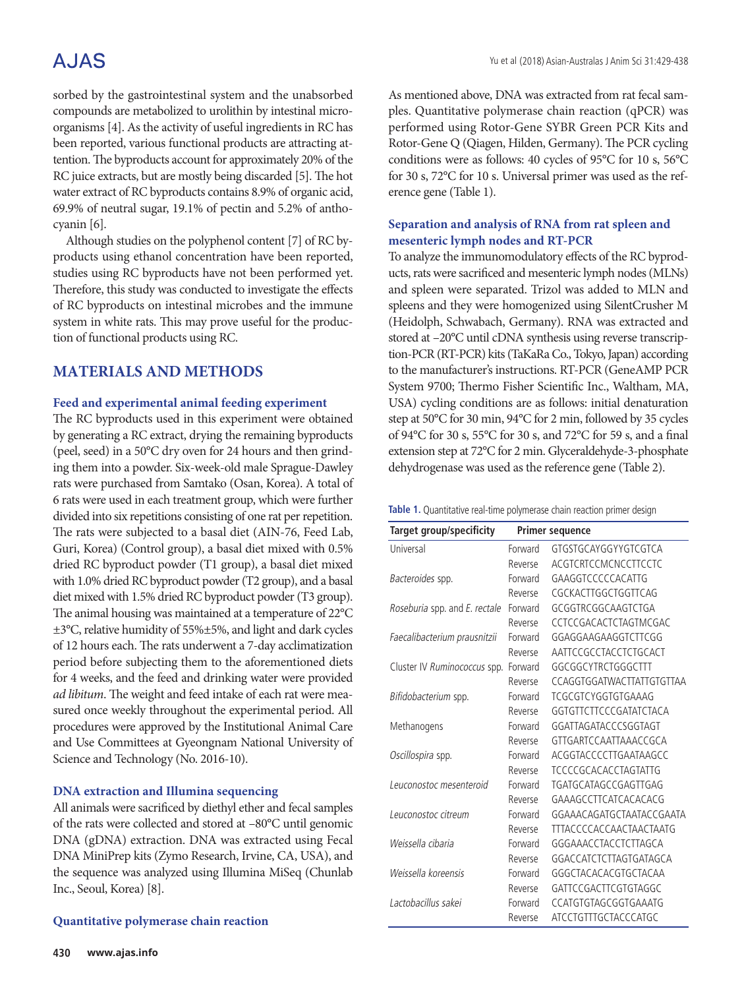# A.JAS

sorbed by the gastrointestinal system and the unabsorbed compounds are metabolized to urolithin by intestinal microorganisms [4]. As the activity of useful ingredients in RC has been reported, various functional products are attracting attention. The byproducts account for approximately 20% of the RC juice extracts, but are mostly being discarded [5]. The hot water extract of RC byproducts contains 8.9% of organic acid, 69.9% of neutral sugar, 19.1% of pectin and 5.2% of anthocyanin [6].

Although studies on the polyphenol content [7] of RC byproducts using ethanol concentration have been reported, studies using RC byproducts have not been performed yet. Therefore, this study was conducted to investigate the effects of RC byproducts on intestinal microbes and the immune system in white rats. This may prove useful for the production of functional products using RC.

## **MATERIALS AND METHODS**

#### **Feed and experimental animal feeding experiment**

The RC byproducts used in this experiment were obtained by generating a RC extract, drying the remaining byproducts (peel, seed) in a 50°C dry oven for 24 hours and then grinding them into a powder. Six-week-old male Sprague-Dawley rats were purchased from Samtako (Osan, Korea). A total of 6 rats were used in each treatment group, which were further divided into six repetitions consisting of one rat per repetition. The rats were subjected to a basal diet (AIN-76, Feed Lab, Guri, Korea) (Control group), a basal diet mixed with 0.5% dried RC byproduct powder (T1 group), a basal diet mixed with 1.0% dried RC byproduct powder (T2 group), and a basal diet mixed with 1.5% dried RC byproduct powder (T3 group). The animal housing was maintained at a temperature of 22°C ±3°C, relative humidity of 55%±5%, and light and dark cycles of 12 hours each. The rats underwent a 7-day acclimatization period before subjecting them to the aforementioned diets for 4 weeks, and the feed and drinking water were provided *ad libitum*. The weight and feed intake of each rat were measured once weekly throughout the experimental period. All procedures were approved by the Institutional Animal Care and Use Committees at Gyeongnam National University of Science and Technology (No. 2016-10).

#### **DNA extraction and Illumina sequencing**

All animals were sacrificed by diethyl ether and fecal samples of the rats were collected and stored at –80°C until genomic DNA (gDNA) extraction. DNA was extracted using Fecal DNA MiniPrep kits (Zymo Research, Irvine, CA, USA), and the sequence was analyzed using Illumina MiSeq (Chunlab Inc., Seoul, Korea) [8].

#### **Quantitative polymerase chain reaction**

As mentioned above, DNA was extracted from rat fecal samples. Quantitative polymerase chain reaction (qPCR) was performed using Rotor-Gene SYBR Green PCR Kits and Rotor-Gene Q (Qiagen, Hilden, Germany). The PCR cycling conditions were as follows: 40 cycles of 95°C for 10 s, 56°C for 30 s, 72°C for 10 s. Universal primer was used as the reference gene (Table 1).

#### **Separation and analysis of RNA from rat spleen and mesenteric lymph nodes and RT-PCR**

To analyze the immunomodulatory effects of the RC byproducts, rats were sacrificed and mesenteric lymph nodes (MLNs) and spleen were separated. Trizol was added to MLN and spleens and they were homogenized using SilentCrusher M (Heidolph, Schwabach, Germany). RNA was extracted and stored at –20°C until cDNA synthesis using reverse transcription-PCR (RT-PCR) kits (TaKaRa Co., Tokyo, Japan) according to the manufacturer's instructions. RT-PCR (GeneAMP PCR System 9700; Thermo Fisher Scientific Inc., Waltham, MA, USA) cycling conditions are as follows: initial denaturation step at 50°C for 30 min, 94°C for 2 min, followed by 35 cycles of 94°C for 30 s, 55°C for 30 s, and 72°C for 59 s, and a final extension step at 72°C for 2 min. Glyceraldehyde-3-phosphate dehydrogenase was used as the reference gene (Table 2).

| Target group/specificity      |         | <b>Primer sequence</b>         |
|-------------------------------|---------|--------------------------------|
| Universal                     | Forward | GTGSTGCAYGGYYGTCGTCA           |
|                               | Reverse | ACGTCRTCCMCNCCTTCCTC           |
| Bacteroides spp.              | Forward | GAAGGTCCCCCACATTG              |
|                               | Reverse | CGCKACTTGGCTGGTTCAG            |
| Roseburia spp. and E. rectale | Forward | GCGGTRCGGCAAGTCTGA             |
|                               | Reverse | CCTCCGACACTCTAGTMCGAC          |
| Faecalibacterium prausnitzii  | Forward | GGAGGAAGAAGGTCTTCGG            |
|                               | Reverse | AATTCCGCCTACCTCTGCACT          |
| Cluster IV Ruminococcus spp.  | Forward | GGCGGCYTRCTGGGCTTT             |
|                               | Reverse | CCAGGTGGATWACTTATTGTGTTAA      |
| Bifidobacterium spp.          | Forward | TCGCGTCYGGTGTGAAAG             |
|                               | Reverse | GGTGTTCTTCCCGATATCTACA         |
| Methanogens                   | Forward | GGATTAGATACCCSGGTAGT           |
|                               | Reverse | GTTGARTCCAATTAAACCGCA          |
| Oscillospira spp.             | Forward | ACGGTACCCCTTGAATAAGCC          |
|                               | Reverse | <b>TCCCCGCACACCTAGTATTG</b>    |
| Leuconostoc mesenteroid       | Forward | TGATGCATAGCCGAGTTGAG           |
|                               | Reverse | GAAAGCCTTCATCACACACG           |
| Leuconostoc citreum           | Forward | GGAAACAGATGCTAATACCGAATA       |
|                               | Reverse | <b>TTTACCCCACCAACTAACTAATG</b> |
| Weissella cibaria             | Forward | GGGAAACCTACCTCTTAGCA           |
|                               | Reverse | GGACCATCTCTTAGTGATAGCA         |
| Weissella koreensis           | Forward | GGGCTACACACGTGCTACAA           |
|                               | Reverse | GATTCCGACTTCGTGTAGGC           |
| Lactobacillus sakei           | Forward | CCATGTGTAGCGGTGAAATG           |
|                               | Reverse | <b>ATCCTGTTTGCTACCCATGC</b>    |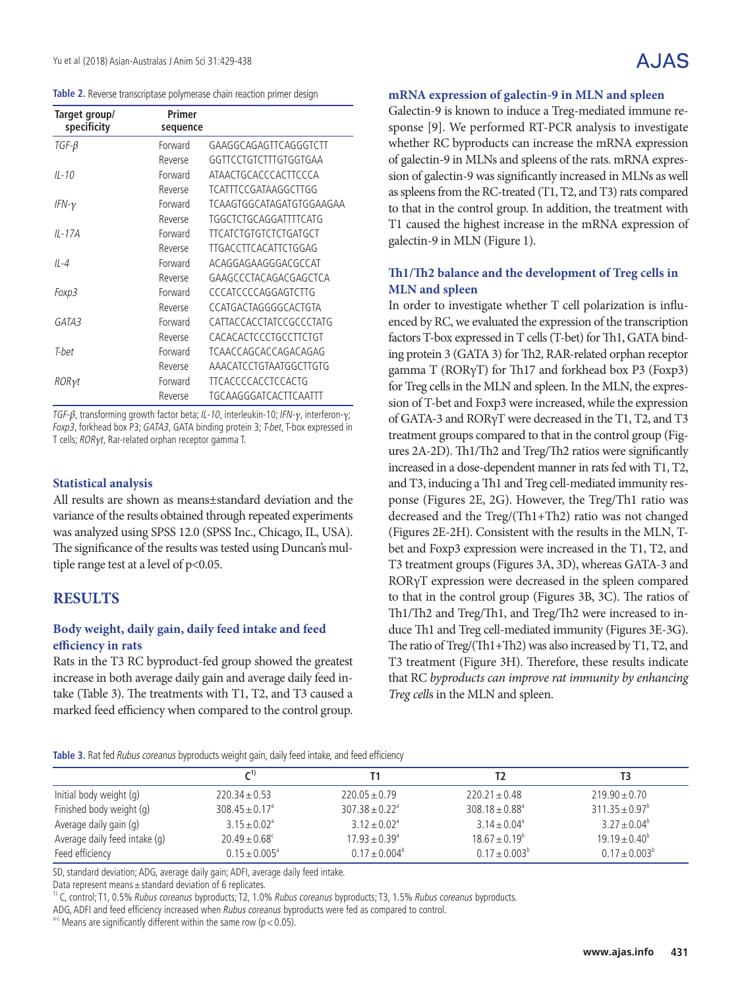|  | <b>Table 2.</b> Reverse transcriptase polymerase chain reaction primer design |  |  |  |
|--|-------------------------------------------------------------------------------|--|--|--|
|  |                                                                               |  |  |  |

| Target group/<br>specificity | Primer<br>sequence |                              |
|------------------------------|--------------------|------------------------------|
| $TGF-\beta$                  | Forward            | GAAGGCAGAGTTCAGGGTCTT        |
|                              | Reverse            | GGTTCCTGTCTTTGTGGTGAA        |
| $IL - 10$                    | Forward            | ATAACTGCACCCACTTCCCA         |
|                              | Reverse            | TCATTTCCGATAAGGCTTGG         |
| IFN- $\gamma$                | Forward            | TCAAGTGGCATAGATGTGGAAGAA     |
|                              | Reverse            | TGGCTCTGCAGGATTTTCATG        |
| $IL-17A$                     | Forward            | <b>TTCATCTGTGTCTCTGATGCT</b> |
|                              | Reverse            | TTGACCTTCACATTCTGGAG         |
| $II -4$                      | Forward            | ACAGGAGAAGGGACGCCAT          |
|                              | Reverse            | GAAGCCCTACAGACGAGCTCA        |
| Foxp3                        | Forward            | <b>CCCATCCCCAGGAGTCTTG</b>   |
|                              | Reverse            | CCATGACTAGGGGCACTGTA         |
| GATA3                        | Forward            | CATTACCACCTATCCGCCCTATG      |
|                              | Reverse            | CACACACTCCCTGCCTTCTGT        |
| T-het                        | Forward            | TCAACCAGCACCAGACAGAG         |
|                              | Reverse            | AAACATCCTGTAATGGCTTGTG       |
| RORγt                        | Forward            | <b>TTCACCCCACCTCCACTG</b>    |
|                              | Reverse            | TGCAAGGGATCACTTCAATTT        |

TGF-β, transforming growth factor beta; IL-10, interleukin-10; IFN-γ, interferon-γ; Foxp3, forkhead box P3; GATA3, GATA binding protein 3; T-bet, T-box expressed in T cells; RORγ<sup>t</sup>, Rar-related orphan receptor gamma T.

#### **Statistical analysis**

All results are shown as means±standard deviation and the variance of the results obtained through repeated experiments was analyzed using SPSS 12.0 (SPSS Inc., Chicago, IL, USA). The significance of the results was tested using Duncan's multiple range test at a level of p<0.05.

### **RESULTS**

#### **Body weight, daily gain, daily feed intake and feed efficiency in rats**

Rats in the T3 RC byproduct-fed group showed the greatest increase in both average daily gain and average daily feed intake (Table 3). The treatments with T1, T2, and T3 caused a marked feed efficiency when compared to the control group.

#### **mRNA expression of galectin-9 in MLN and spleen**

Galectin-9 is known to induce a Treg-mediated immune response [9]. We performed RT-PCR analysis to investigate whether RC byproducts can increase the mRNA expression of galectin-9 in MLNs and spleens of the rats. mRNA expression of galectin-9 was significantly increased in MLNs as well as spleens from the RC-treated (T1, T2, and T3) rats compared to that in the control group. In addition, the treatment with T1 caused the highest increase in the mRNA expression of galectin-9 in MLN (Figure 1).

#### **Th1/Th2 balance and the development of Treg cells in MLN and spleen**

In order to investigate whether T cell polarization is influenced by RC, we evaluated the expression of the transcription factors T-box expressed in T cells (T-bet) for Th1, GATA binding protein 3 (GATA 3) for Th2, RAR-related orphan receptor gamma T (RORγT) for Th17 and forkhead box P3 (Foxp3) for Treg cells in the MLN and spleen. In the MLN, the expression of T-bet and Foxp3 were increased, while the expression of GATA-3 and RORγT were decreased in the T1, T2, and T3 treatment groups compared to that in the control group (Figures 2A-2D). Th1/Th2 and Treg/Th2 ratios were significantly increased in a dose-dependent manner in rats fed with T1, T2, and T3, inducing a Th1 and Treg cell-mediated immunity response (Figures 2E, 2G). However, the Treg/Th1 ratio was decreased and the Treg/(Th1+Th2) ratio was not changed (Figures 2E-2H). Consistent with the results in the MLN, Tbet and Foxp3 expression were increased in the T1, T2, and T3 treatment groups (Figures 3A, 3D), whereas GATA-3 and RORγT expression were decreased in the spleen compared to that in the control group (Figures 3B, 3C). The ratios of Th1/Th2 and Treg/Th1, and Treg/Th2 were increased to induce Th1 and Treg cell-mediated immunity (Figures 3E-3G). The ratio of Treg/(Th1+Th2) was also increased by T1, T2, and T3 treatment (Figure 3H). Therefore, these results indicate that RC *byproducts can improve rat immunity by enhancing Treg cell*s in the MLN and spleen.

| Table 3. Rat fed Rubus coreanus byproducts weight gain, daily feed intake, and feed efficiency |  |  |
|------------------------------------------------------------------------------------------------|--|--|
|------------------------------------------------------------------------------------------------|--|--|

|                               |                              |                                |                                | тз                        |  |  |
|-------------------------------|------------------------------|--------------------------------|--------------------------------|---------------------------|--|--|
| Initial body weight (g)       | $220.34 \pm 0.53$            | $220.05 \pm 0.79$              | $220.21 \pm 0.48$              | $219.90 \pm 0.70$         |  |  |
| Finished body weight (g)      | $308.45 \pm 0.17^a$          | $307.38 \pm 0.22$ <sup>a</sup> | $308.18 \pm 0.88$ <sup>a</sup> | $311.35 \pm 0.97^{\circ}$ |  |  |
| Average daily gain (g)        | $3.15 \pm 0.02$ <sup>a</sup> | $3.12 \pm 0.02$ <sup>a</sup>   | $3.14 \pm 0.04$ <sup>a</sup>   | $3.27 \pm 0.04^b$         |  |  |
| Average daily feed intake (q) | $20.49 \pm 0.68^{\circ}$     | $17.93 + 0.39$ <sup>a</sup>    | $18.67 \pm 0.19^b$             | $19.19 \pm 0.40^{\circ}$  |  |  |
| Feed efficiency               | $0.15 \pm 0.005^{\circ}$     | $0.17 \pm 0.004^b$             | $0.17 \pm 0.003^b$             | $0.17 \pm 0.003^b$        |  |  |

SD, standard deviation; ADG, average daily gain; ADFI, average daily feed intake.

Data represent means  $\pm$  standard deviation of 6 replicates.

<sup>1)</sup> C, control; T1, 0.5% Rubus coreanus byproducts; T2, 1.0% Rubus coreanus byproducts; T3, 1.5% Rubus coreanus byproducts.

ADG, ADFI and feed efficiency increased when Rubus coreanus byproducts were fed as compared to control.  $a-c$  Means are significantly different within the same row (p < 0.05).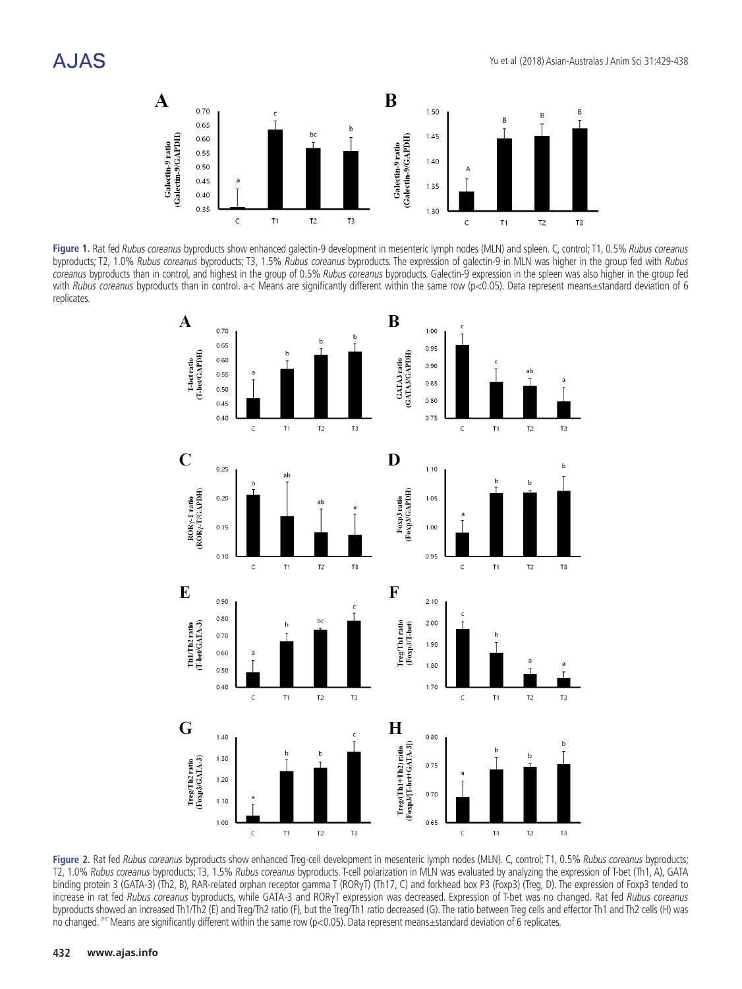

Figure 1. Rat fed Rubus coreanus byproducts show enhanced galectin-9 development in mesenteric lymph nodes (MLN) and spleen. C, control; T1, 0.5% Rubus coreanus byproducts; T2, 1.0% *Rubus coreanus* byproducts; T3, 1.5% *Rubus coreanus* byproducts. The expression of galectin-9 in MLN was higher in the group fed with *Rubus* coreanus byproducts than in control, and highest in the group of 0.5% Rubus coreanus byproducts. Galectin-9 expression in the spleen was also higher in the group fed with Rubus coreanus byproducts than in control. a-c Means are significantly different within the same row (p<0.05). Data represent means±standard deviation of 6 replicates. **Example 36** *none income specifical* u n<br>...



**Figure 2.** Rat fed Rubus coreanus byproducts show enhanced Treg-cell development in mesenteric lymph nodes (MLN). C, control; T1, 0.5% Rubus coreanus byproducts; T2, 1.0% Rubus coreanus byproducts; T3, 1.5% Rubus coreanus byproducts. T-cell polarization in MLN was evaluated by analyzing the expression of T-bet (Th1, A), GATA binding protein 3 (GATA-3) (Th2, B), RAR-related orphan receptor gamma T (RORγT) (Th17, C) and forkhead box P3 (Foxp3) (Treg, D). The expression of Foxp3 tended to increase in rat fed Rubus coreanus byproducts, while GATA-3 and RORγT expression was decreased. Expression of T-bet was no changed. Rat fed Rubus coreanus byproducts showed an increased Th1/Th2 (E) and Treg/Th2 ratio (F), but the Treg/Th1 ratio decreased (G). The ratio between Treg cells and effector Th1 and Th2 cells (H) was no changed. <sup>a-c</sup> Means are significantly different within the same row (p<0.05). Data represent means $\pm$ standard deviation of 6 replicates.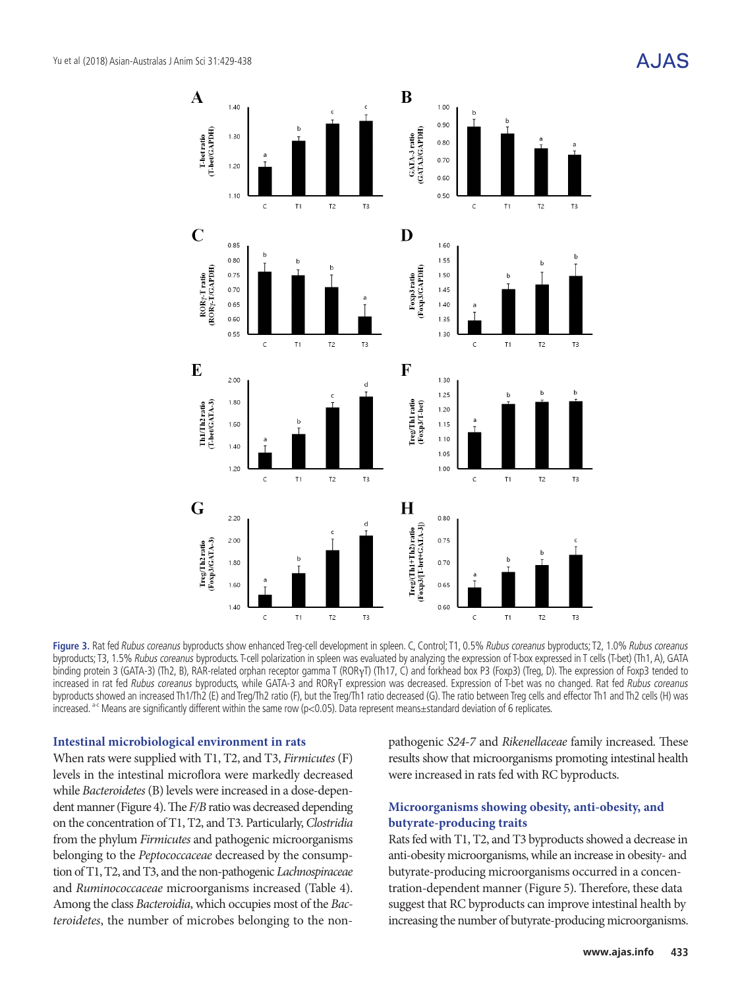A.JAS



Figure 3. Rat fed Rubus coreanus byproducts show enhanced Treg-cell development in spleen. C, Control; T1, 0.5% Rubus coreanus byproducts; T2, 1.0% Rubus coreanus byproducts; T3, 1.5% Rubus coreanus byproducts. T-cell polarization in spleen was evaluated by analyzing the expression of T-box expressed in T cells (T-bet) (Th1, A), GATA binding protein 3 (GATA-3) (Th2, B), RAR-related orphan receptor gamma T (RORγT) (Th17, C) and forkhead box P3 (Foxp3) (Treg, D). The expression of Foxp3 tended to increased in rat fed Rubus coreanus byproducts, while GATA-3 and RORγT expression was decreased. Expression of T-bet was no changed. Rat fed Rubus coreanus byproducts showed an increased Th1/Th2 (E) and Treg/Th2 ratio (F), but the Treg/Th1 ratio decreased (G). The ratio between Treg cells and effector Th1 and Th2 cells (H) was increased. <sup>a-c</sup> Means are significantly different within the same row (p<0.05). Data represent means $\pm$ standard deviation of 6 replicates.

#### **Intestinal microbiological environment in rats**

When rats were supplied with T1, T2, and T3, *Firmicutes* (F) levels in the intestinal microflora were markedly decreased while *Bacteroidetes* (B) levels were increased in a dose-dependent manner (Figure 4). The *F/B* ratio was decreased depending on the concentration of T1, T2, and T3. Particularly, *Clostridia* from the phylum *Firmicutes* and pathogenic microorganisms belonging to the *Peptococcaceae* decreased by the consumption of T1, T2, and T3, and the non-pathogenic *Lachnospiraceae* and *Ruminococcaceae* microorganisms increased (Table 4). Among the class *Bacteroidia*, which occupies most of the *Bacteroidetes*, the number of microbes belonging to the nonpathogenic *S24-7* and *Rikenellaceae* family increased. These results show that microorganisms promoting intestinal health were increased in rats fed with RC byproducts.

#### **Microorganisms showing obesity, anti-obesity, and butyrate-producing traits**

Rats fed with T1, T2, and T3 byproducts showed a decrease in anti-obesity microorganisms, while an increase in obesity- and butyrate-producing microorganisms occurred in a concentration-dependent manner (Figure 5). Therefore, these data suggest that RC byproducts can improve intestinal health by increasing the number of butyrate-producing microorganisms.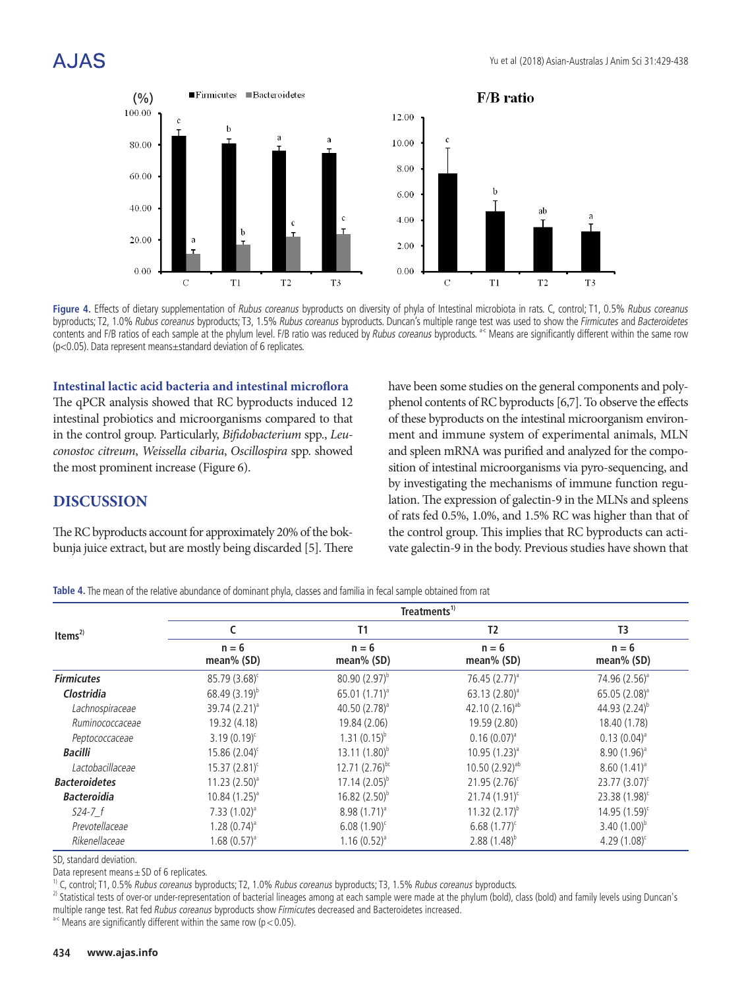

Figure 4. Effects of dietary supplementation of Rubus coreanus byproducts on diversity of phyla of Intestinal microbiota in rats. C, control; T1, 0.5% Rubus coreanus byproducts; T2, 1.0% Rubus coreanus byproducts; T3, 1.5% Rubus coreanus byproducts. Duncan's multiple range test was used to show the Firmicutes and Bacteroidetes oyproducts, 12, 1.0% hadds coreands byproducts, 15, 1.5% hadds coreands byproducts. Durican's multiple range test was used to show the *Finnicutes* and *bacteroidetes*<br>contents and F/B ratios of each sample at the phylum l (p<0.05). Data represent means±standard deviation of 6 replicates. 398

Intestinal lactic acid bacteria and intestinal microflora The qPCR analysis showed that RC byproducts induced 12 phenol contents of RC byproducts [ intestinal probiotics and microorganisms compared to that of these byproducts on the intestina in the control group. Particularly, *Bifidobacterium* spp., *Leu*-<br>
103 ment and immune system of expo *conostoc citreum*, *Weissella cibaria*, *Oscillospira* spp. showed the most prominent increase (Figure 6). 404 control group, rarticularly, *bifuovulerium* spp., *Lea*. Then and immune system

### **DISCUSSION**

The RC byproducts account for approximately 20% of the bokbunja juice extract, but are mostly being discarded [5]. There have been some studies on the general components and polyphenol contents of RC byproducts [6,7]. To observe the effects of these byproducts on the intestinal microorganism environment and immune system of experimental animals, MLN and spleen mRNA was purified and analyzed for the composition of intestinal microorganisms via pyro-sequencing, and by investigating the mechanisms of immune function regulation. The expression of galectin-9 in the MLNs and spleens of rats fed 0.5%, 1.0%, and 1.5% RC was higher than that of the control group. This implies that RC byproducts can activate galectin-9 in the body. Previous studies have shown that

**Table 4.** The mean of the relative abundance of dominant phyla, classes and familia in fecal sample obtained from rat

|                      | Treatments <sup>1)</sup> |                         |                         |                           |  |
|----------------------|--------------------------|-------------------------|-------------------------|---------------------------|--|
| Items $^{2)}$        |                          | T1                      | T <sub>2</sub>          | T <sub>3</sub>            |  |
|                      | $n = 6$<br>mean% (SD)    | $n = 6$<br>mean% $(SD)$ | $n = 6$<br>mean% $(SD)$ | $n = 6$<br>mean% $(SD)$   |  |
| <b>Firmicutes</b>    | $85.79(3.68)^c$          | $80.90(2.97)^{b}$       | $76.45(2.77)^a$         | 74.96 (2.56) <sup>a</sup> |  |
| Clostridia           | 68.49 $(3.19)^{b}$       | 65.01 $(1.71)^a$        | 63.13 $(2.80)^{a}$      | $65.05(2.08)^{a}$         |  |
| Lachnospiraceae      | $39.74(2.21)^a$          | 40.50 $(2.78)^{a}$      | 42.10 $(2.16)^{ab}$     | 44.93 $(2.24)^{b}$        |  |
| Ruminococcaceae      | 19.32 (4.18)             | 19.84 (2.06)            | 19.59 (2.80)            | 18.40 (1.78)              |  |
| Peptococcaceae       | $3.19(0.19)^c$           | $1.31(0.15)^{b}$        | $0.16(0.07)^a$          | $0.13(0.04)^{a}$          |  |
| <b>Bacilli</b>       | $15.86(2.04)^c$          | $13.11(1.80)^{b}$       | $10.95(1.23)^{a}$       | $8.90(1.96)^{a}$          |  |
| Lactobacillaceae     | $15.37(2.81)^c$          | 12.71 $(2.76)^{bc}$     | 10.50 $(2.92)^{ab}$     | $8.60(1.41)^{a}$          |  |
| <b>Bacteroidetes</b> | $11.23 (2.50)^{a}$       | $17.14(2.05)^{b}$       | $21.95(2.76)^c$         | $23.77(3.07)^c$           |  |
| <b>Bacteroidia</b>   | $10.84(1.25)^{a}$        | $16.82(2.50)^{b}$       | $21.74(1.91)^c$         | 23.38 (1.98) <sup>c</sup> |  |
| $524 - 7 f$          | $7.33(1.02)^{a}$         | $8.98(1.71)^{a}$        | 11.32 $(2.17)^{b}$      | $14.95(1.59)^c$           |  |
| Prevotellaceae       | $1.28(0.74)^{a}$         | $6.08(1.90)^c$          | $6.68(1.77)^c$          | 3.40 $(1.00)^{b}$         |  |
| Rikenellaceae        | $1.68(0.57)^a$           | $1.16(0.52)^{a}$        | $2.88(1.48)^{b}$        | 4.29 $(1.08)^c$           |  |

SD, standard deviation.

Data represent means ± SD of 6 replicates.<br><sup>1)</sup> C, control; T1, 0.5% *Rubus coreanus* byproducts; T2, 1.0% *Rubus coreanus* byproducts; T3, 1.5% *Rubus coreanus* byproducts.

<sup>2)</sup> Statistical tests of over-or under-representation of bacterial lineages among at each sample were made at the phylum (bold), class (bold) and family levels using Duncan's multiple range test. Rat fed Rubus coreanus byproducts show Firmicutes decreased and Bacteroidetes increased.  $a-c$  Means are significantly different within the same row (p < 0.05).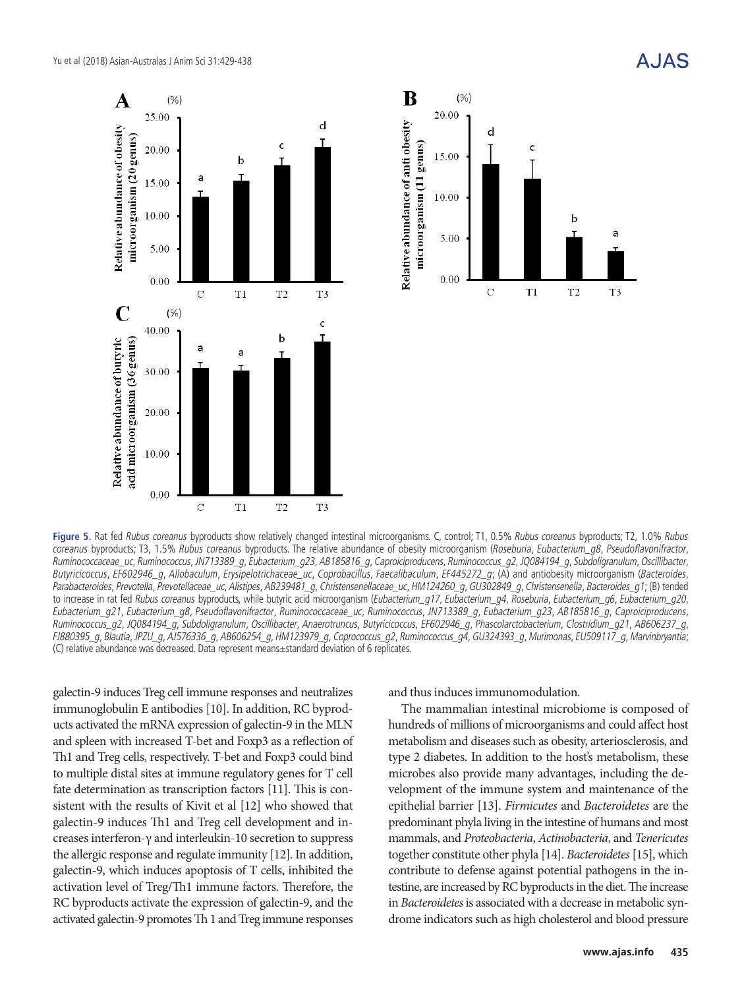



Figure 5. Rat fed Rubus coreanus byproducts show relatively changed intestinal microorganisms. C, control; T1, 0.5% Rubus coreanus byproducts; T2, 1.0% Rubus coreanus byproducts; T3, 1.5% Rubus coreanus byproducts. The relative abundance of obesity microorganism (Roseburia, Eubacterium\_g8, Pseudoflavonifractor, Ruminococcaceae\_uc, Ruminococcus, JN713389\_g, Eubacterium\_g23, AB185816\_g, Caproiciproducens, Ruminococcus\_g2, JQ084194\_g, Subdoligranulum, Oscillibacter, Butyricicoccus, EF602946\_g, Allobaculum, Erysipelotrichaceae\_uc, Coprobacillus, Faecalibaculum, EF445272\_g; (A) and antiobesity microorganism (Bacteroides, Parabacteroides, Prevotella, Prevotellaceae\_uc, Alistipes, AB239481\_g, Christensenellaceae\_uc, HM124260\_g, GU302849\_g, Christensenella, Bacteroides\_g1; (B) tended to increase in rat fed Rubus coreanus byproducts, while butyric acid microorganism (Eubacterium\_g17, Eubacterium\_g4, Roseburia, Eubacterium\_g6, Eubacterium\_g20, Eubacterium\_g21, Eubacterium\_g8, Pseudoflavonifractor, Ruminococcaceae\_uc, Ruminococcus, JN713389\_g, Eubacterium\_g23, AB185816\_g, Caproiciproducens, Ruminococcus\_g2, JQ084194\_g, Subdoligranulum, Oscillibacter, Anaerotruncus, Butyricicoccus, EF602946\_g, Phascolarctobacterium, Clostridium\_g21, AB606237\_g, FJ880395\_g, Blautia, JPZU\_g, AJ576336\_g, AB606254\_g, HM123979\_g, Coprococcus\_g2, Ruminococcus\_g4, GU324393\_g, Murimonas, EU509117\_g, Marvinbryantia; (C) relative abundance was decreased. Data represent means±standard deviation of 6 replicates.

galectin-9 induces Treg cell immune responses and neutralizes immunoglobulin E antibodies [10]. In addition, RC byproducts activated the mRNA expression of galectin-9 in the MLN and spleen with increased T-bet and Foxp3 as a reflection of Th1 and Treg cells, respectively. T-bet and Foxp3 could bind to multiple distal sites at immune regulatory genes for T cell fate determination as transcription factors [11]. This is consistent with the results of Kivit et al [12] who showed that galectin-9 induces Th1 and Treg cell development and increases interferon-γ and interleukin-10 secretion to suppress the allergic response and regulate immunity [12]. In addition, galectin-9, which induces apoptosis of T cells, inhibited the activation level of Treg/Th1 immune factors. Therefore, the RC byproducts activate the expression of galectin-9, and the activated galectin-9 promotes Th 1 and Treg immune responses

and thus induces immunomodulation.

The mammalian intestinal microbiome is composed of hundreds of millions of microorganisms and could affect host metabolism and diseases such as obesity, arteriosclerosis, and type 2 diabetes. In addition to the host's metabolism, these microbes also provide many advantages, including the development of the immune system and maintenance of the epithelial barrier [13]. *Firmicutes* and *Bacteroidetes* are the predominant phyla living in the intestine of humans and most mammals, and *Proteobacteria*, *Actinobacteria*, and *Tenericutes* together constitute other phyla [14]. *Bacteroidetes* [15], which contribute to defense against potential pathogens in the intestine, are increased by RC byproducts in the diet. The increase in *Bacteroidetes* is associated with a decrease in metabolic syndrome indicators such as high cholesterol and blood pressure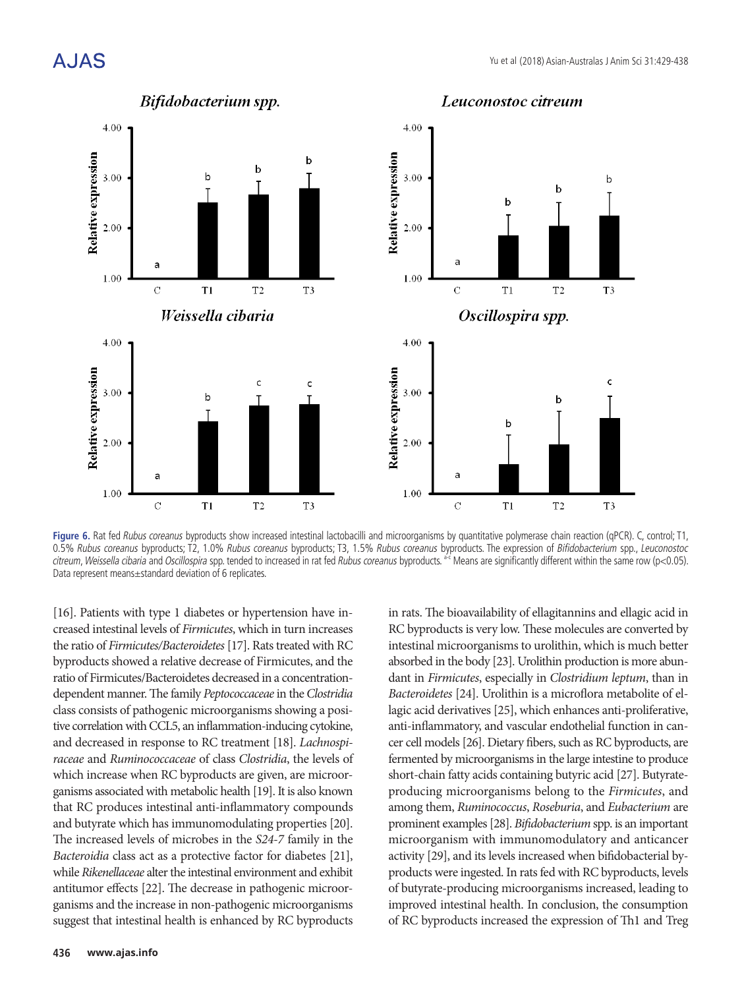

**Figure 6.** Rat fed Rubus coreanus byproducts show increased intestinal lactobacilli and microorganisms by quantitative polymerase chain reaction (qPCR). C, control; T1, 0.5% *Rubus coreanus* byproducts; T2, 1.0% *Rubus coreanus* byproducts; T3, 1.5% *Rubus coreanus* byproducts. The expression of *Bifidobacterium s*pp., *Leuconostoc* citreum, Weissella cibaria and Oscillospira spp. tended to increased in rat fed Rubus coreanus byproducts. <sup>ac</sup> Means are significantly different within the same row (p<0.05). Data represent means±standard deviation of 6 replicates.

[16]. Patients with type 1 diabetes or hypertension have in-<br>
in rats. The bioavailability of ellagitan creased intestinal levels of *Firmicutes*, which in turn increases RC byproducts is very low. These mol the ratio of Firmicutes/Bacteroidetes [17]. Rats treated with RC intestinal microorganisms to urolithin byproducts showed a relative decrease of Firmicutes, and the absorbed in the body [23]. Urolithin pr ratio of Firmicutes/Bacteroidetes decreased in a concentration-<br>and in Firmicutes, especially in Clost dependent manner. The family *Peptococcaceae* in the *Clostridia L* class consists of pathogenic microorganisms showing a positive correlation with CCL5, an inflammation-inducing cytokine, and decreased in response to RC treatment [18]. *Lachnospiraceae* and *Ruminococcaceae* of class *Clostridia*, the levels of which increase when RC byproducts are given, are microorganisms associated with metabolic health [19]. It is also known that RC produces intestinal anti-inflammatory compounds and butyrate which has immunomodulating properties [20]. The increased levels of microbes in the *S24-7* family in the *Bacteroidia* class act as a protective factor for diabetes [21], while *Rikenellaceae* alter the intestinal environment and exhibit antitumor effects [22]. The decrease in pathogenic microorganisms and the increase in non-pathogenic microorganisms suggest that intestinal health is enhanced by RC byproducts

RC byproducts is very low. These molecules are converted by intestinal microorganisms to urolithin, which is much better absorbed in the body [23]. Urolithin production is more abundant in *Firmicutes*, especially in *Clostridium leptum*, than in *Bacteroidetes* [24]. Urolithin is a microflora metabolite of ellagic acid derivatives [25], which enhances anti-proliferative, anti-inflammatory, and vascular endothelial function in cancer cell models [26]. Dietary fibers, such as RC byproducts, are fermented by microorganisms in the large intestine to produce short-chain fatty acids containing butyric acid [27]. Butyrateproducing microorganisms belong to the *Firmicutes*, and among them, *Ruminococcus*, *Roseburia*, and *Eubacterium* are prominent examples [28]. *Bifidobacterium* spp. is an important microorganism with immunomodulatory and anticancer activity [29], and its levels increased when bifidobacterial byproducts were ingested. In rats fed with RC byproducts, levels of butyrate-producing microorganisms increased, leading to improved intestinal health. In conclusion, the consumption of RC byproducts increased the expression of Th1 and Treg

in rats. The bioavailability of ellagitannins and ellagic acid in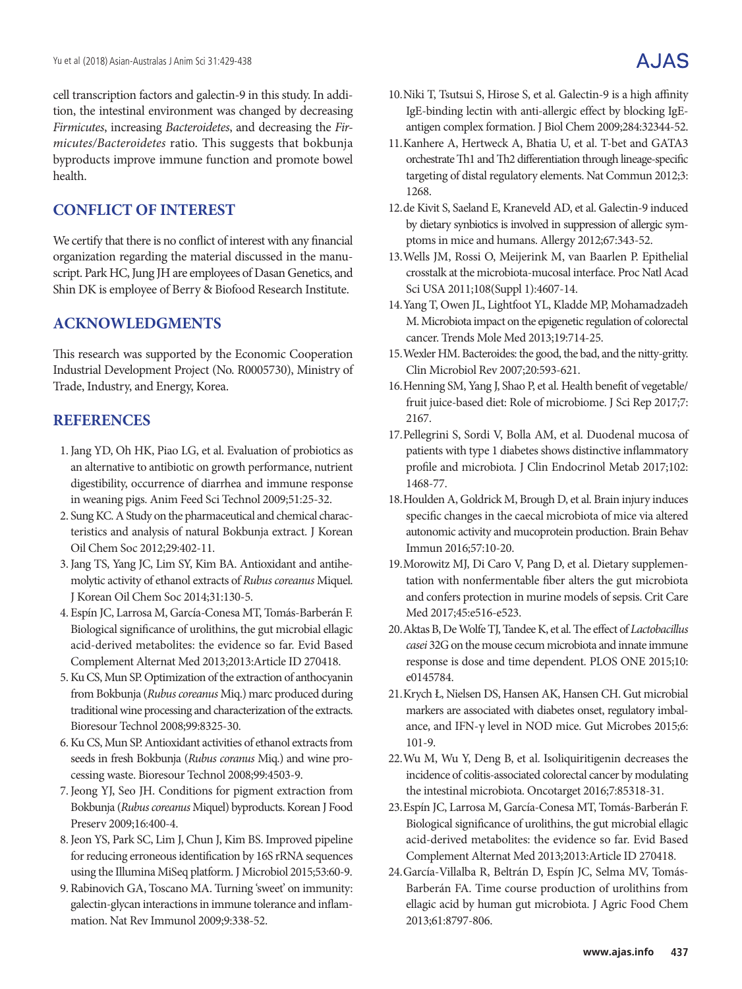cell transcription factors and galectin-9 in this study. In addition, the intestinal environment was changed by decreasing *Firmicutes*, increasing *Bacteroidetes*, and decreasing the *Firmicutes/Bacteroidetes* ratio. This suggests that bokbunja byproducts improve immune function and promote bowel health.

# **CONFLICT OF INTEREST**

We certify that there is no conflict of interest with any financial organization regarding the material discussed in the manuscript. Park HC, Jung JH are employees of Dasan Genetics, and Shin DK is employee of Berry & Biofood Research Institute.

# **ACKNOWLEDGMENTS**

This research was supported by the Economic Cooperation Industrial Development Project (No. R0005730), Ministry of Trade, Industry, and Energy, Korea.

## **REFERENCES**

- 1.Jang YD, Oh HK, Piao LG, et al. Evaluation of probiotics as an alternative to antibiotic on growth performance, nutrient digestibility, occurrence of diarrhea and immune response in weaning pigs. Anim Feed Sci Technol 2009;51:25-32.
- 2. Sung KC. A Study on the pharmaceutical and chemical characteristics and analysis of natural Bokbunja extract. J Korean Oil Chem Soc 2012;29:402-11.
- 3.Jang TS, Yang JC, Lim SY, Kim BA. Antioxidant and antihemolytic activity of ethanol extracts of *Rubus coreanus* Miquel. J Korean Oil Chem Soc 2014;31:130-5.
- 4. Espín JC, Larrosa M, García-Conesa MT, Tomás-Barberán F. Biological significance of urolithins, the gut microbial ellagic acid-derived metabolites: the evidence so far. Evid Based Complement Alternat Med 2013;2013:Article ID 270418.
- 5.Ku CS, Mun SP. Optimization of the extraction of anthocyanin from Bokbunja (*Rubus coreanus* Miq.) marc produced during traditional wine processing and characterization of the extracts. Bioresour Technol 2008;99:8325-30.
- 6.Ku CS, Mun SP. Antioxidant activities of ethanol extracts from seeds in fresh Bokbunja (*Rubus coranus* Miq.) and wine processing waste. Bioresour Technol 2008;99:4503-9.
- 7.Jeong YJ, Seo JH. Conditions for pigment extraction from Bokbunja (*Rubus coreanus* Miquel) byproducts. Korean J Food Preserv 2009;16:400-4.
- 8.Jeon YS, Park SC, Lim J, Chun J, Kim BS. Improved pipeline for reducing erroneous identification by 16S rRNA sequences using the Illumina MiSeq platform. J Microbiol 2015;53:60-9.
- 9. Rabinovich GA, Toscano MA. Turning 'sweet' on immunity: galectin-glycan interactions in immune tolerance and inflammation. Nat Rev Immunol 2009;9:338-52.
- 10.Niki T, Tsutsui S, Hirose S, et al. Galectin-9 is a high affinity IgE-binding lectin with anti-allergic effect by blocking IgEantigen complex formation. J Biol Chem 2009;284:32344-52.
- 11.Kanhere A, Hertweck A, Bhatia U, et al. T-bet and GATA3 orchestrate Th1 and Th2 differentiation through lineage-specific targeting of distal regulatory elements. Nat Commun 2012;3: 1268.
- 12.de Kivit S, Saeland E, Kraneveld AD, et al. Galectin-9 induced by dietary synbiotics is involved in suppression of allergic symptoms in mice and humans. Allergy 2012;67:343-52.
- 13.Wells JM, Rossi O, Meijerink M, van Baarlen P. Epithelial crosstalk at the microbiota-mucosal interface. Proc Natl Acad Sci USA 2011;108(Suppl 1):4607-14.
- 14.Yang T, Owen JL, Lightfoot YL, Kladde MP, Mohamadzadeh M. Microbiota impact on the epigenetic regulation of colorectal cancer. Trends Mole Med 2013;19:714-25.
- 15.Wexler HM. Bacteroides: the good, the bad, and the nitty-gritty. Clin Microbiol Rev 2007;20:593-621.
- 16.Henning SM, Yang J, Shao P, et al. Health benefit of vegetable/ fruit juice-based diet: Role of microbiome. J Sci Rep 2017;7: 2167.
- 17.Pellegrini S, Sordi V, Bolla AM, et al. Duodenal mucosa of patients with type 1 diabetes shows distinctive inflammatory profile and microbiota. J Clin Endocrinol Metab 2017;102: 1468-77.
- 18.Houlden A, Goldrick M, Brough D, et al. Brain injury induces specific changes in the caecal microbiota of mice via altered autonomic activity and mucoprotein production. Brain Behav Immun 2016;57:10-20.
- 19.Morowitz MJ, Di Caro V, Pang D, et al. Dietary supplementation with nonfermentable fiber alters the gut microbiota and confers protection in murine models of sepsis. Crit Care Med 2017;45:e516-e523.
- 20.Aktas B, De Wolfe TJ, Tandee K, et al. The effect of *Lactobacillus casei* 32G on the mouse cecum microbiota and innate immune response is dose and time dependent. PLOS ONE 2015;10: e0145784.
- 21.Krych Ł, Nielsen DS, Hansen AK, Hansen CH. Gut microbial markers are associated with diabetes onset, regulatory imbalance, and IFN-γ level in NOD mice. Gut Microbes 2015;6: 101-9.
- 22.Wu M, Wu Y, Deng B, et al. Isoliquiritigenin decreases the incidence of colitis-associated colorectal cancer by modulating the intestinal microbiota. Oncotarget 2016;7:85318-31.
- 23.Espín JC, Larrosa M, García-Conesa MT, Tomás-Barberán F. Biological significance of urolithins, the gut microbial ellagic acid-derived metabolites: the evidence so far. Evid Based Complement Alternat Med 2013;2013:Article ID 270418.
- 24.García-Villalba R, Beltrán D, Espín JC, Selma MV, Tomás-Barberán FA. Time course production of urolithins from ellagic acid by human gut microbiota. J Agric Food Chem 2013;61:8797-806.